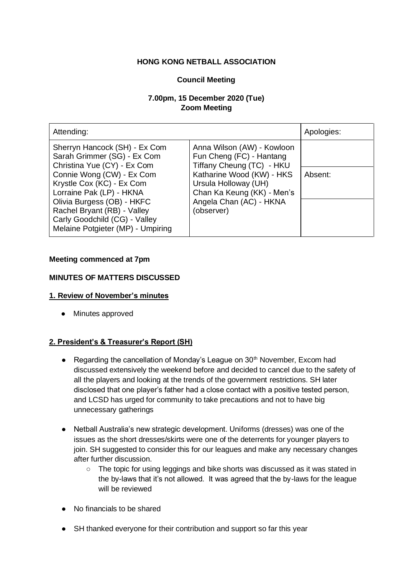### **HONG KONG NETBALL ASSOCIATION**

### **Council Meeting**

# **7.00pm, 15 December 2020 (Tue) Zoom Meeting**

| Attending:                                                                                                                                                                                                            |                                                                                                                          | Apologies: |
|-----------------------------------------------------------------------------------------------------------------------------------------------------------------------------------------------------------------------|--------------------------------------------------------------------------------------------------------------------------|------------|
| Sherryn Hancock (SH) - Ex Com<br>Sarah Grimmer (SG) - Ex Com<br>Christina Yue (CY) - Ex Com                                                                                                                           | Anna Wilson (AW) - Kowloon<br>Fun Cheng (FC) - Hantang<br>Tiffany Cheung (TC) - HKU                                      |            |
| Connie Wong (CW) - Ex Com<br>Krystle Cox (KC) - Ex Com<br>Lorraine Pak (LP) - HKNA<br>Olivia Burgess (OB) - HKFC<br>Rachel Bryant (RB) - Valley<br>Carly Goodchild (CG) - Valley<br>Melaine Potgieter (MP) - Umpiring | Katharine Wood (KW) - HKS<br>Ursula Holloway (UH)<br>Chan Ka Keung (KK) - Men's<br>Angela Chan (AC) - HKNA<br>(observer) | Absent:    |

### **Meeting commenced at 7pm**

### **MINUTES OF MATTERS DISCUSSED**

#### **1. Review of November's minutes**

● Minutes approved

### **2. President's & Treasurer's Report (SH)**

- Regarding the cancellation of Monday's League on  $30<sup>th</sup>$  November, Excom had discussed extensively the weekend before and decided to cancel due to the safety of all the players and looking at the trends of the government restrictions. SH later disclosed that one player's father had a close contact with a positive tested person, and LCSD has urged for community to take precautions and not to have big unnecessary gatherings
- Netball Australia's new strategic development. Uniforms (dresses) was one of the issues as the short dresses/skirts were one of the deterrents for younger players to join. SH suggested to consider this for our leagues and make any necessary changes after further discussion.
	- The topic for using leggings and bike shorts was discussed as it was stated in the by-laws that it's not allowed. It was agreed that the by-laws for the league will be reviewed
- No financials to be shared
- SH thanked everyone for their contribution and support so far this year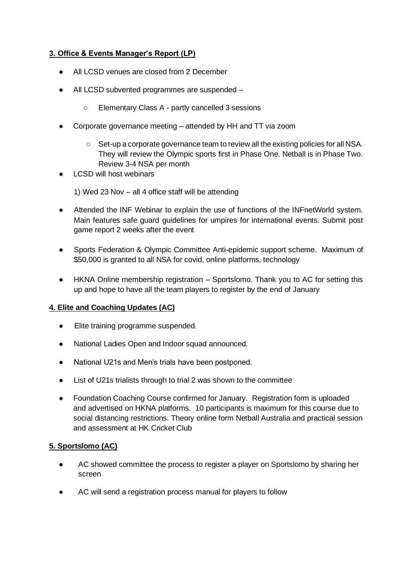# **3. Office & Events Manager's Report (LP)**

- All LCSD venues are closed from 2 December
- All LCSD subvented programmes are suspended
	- Elementary Class A partly cancelled 3 sessions
- Corporate governance meeting attended by HH and TT via zoom
	- Set-up a corporate governance team to review all the existing policies for all NSA. They will review the Olympic sports first in Phase One. Netball is in Phase Two. Review 3-4 NSA per month
- **LCSD will host webinars**

1) Wed 23 Nov – all 4 office staff will be attending

- Attended the INF Webinar to explain the use of functions of the INFnetWorld system. Main features safe guard guidelines for umpires for international events. Submit post game report 2 weeks after the event
- Sports Federation & Olympic Committee Anti-epidemic support scheme. Maximum of \$50,000 is granted to all NSA for covid, online platforms, technology
- HKNA Online membership registration Sportslomo. Thank you to AC for setting this up and hope to have all the team players to register by the end of January

# **4. Elite and Coaching Updates (AC)**

- Elite training programme suspended.
- National Ladies Open and Indoor squad announced.
- National U21s and Men's trials have been postponed.
- List of U21s trialists through to trial 2 was shown to the committee
- Foundation Coaching Course confirmed for January. Registration form is uploaded and advertised on HKNA platforms. 10 participants is maximum for this course due to social distancing restrictions. Theory online form Netball Australia and practical session and assessment at HK Cricket Club

# **5. Sportslomo (AC)**

- AC showed committee the process to register a player on Sportslomo by sharing her screen
- AC will send a registration process manual for players to follow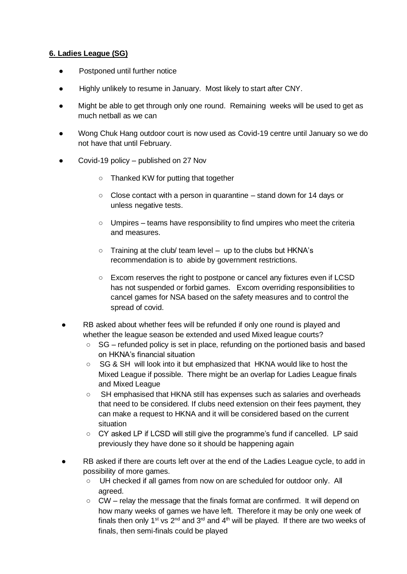### **6. Ladies League (SG)**

- Postponed until further notice
- Highly unlikely to resume in January. Most likely to start after CNY.
- Might be able to get through only one round. Remaining weeks will be used to get as much netball as we can
- Wong Chuk Hang outdoor court is now used as Covid-19 centre until January so we do not have that until February.
- Covid-19 policy published on 27 Nov
	- Thanked KW for putting that together
	- Close contact with a person in quarantine stand down for 14 days or unless negative tests.
	- $\circ$  Umpires teams have responsibility to find umpires who meet the criteria and measures.
	- $\circ$  Training at the club/ team level up to the clubs but HKNA's recommendation is to abide by government restrictions.
	- Excom reserves the right to postpone or cancel any fixtures even if LCSD has not suspended or forbid games. Excom overriding responsibilities to cancel games for NSA based on the safety measures and to control the spread of covid.
- RB asked about whether fees will be refunded if only one round is played and whether the league season be extended and used Mixed league courts?
	- SG refunded policy is set in place, refunding on the portioned basis and based on HKNA's financial situation
	- SG & SH will look into it but emphasized that HKNA would like to host the Mixed League if possible. There might be an overlap for Ladies League finals and Mixed League
	- SH emphasised that HKNA still has expenses such as salaries and overheads that need to be considered. If clubs need extension on their fees payment, they can make a request to HKNA and it will be considered based on the current situation
	- CY asked LP if LCSD will still give the programme's fund if cancelled. LP said previously they have done so it should be happening again
- RB asked if there are courts left over at the end of the Ladies League cycle, to add in possibility of more games.
	- UH checked if all games from now on are scheduled for outdoor only. All agreed.
	- $\circ$  CW relay the message that the finals format are confirmed. It will depend on how many weeks of games we have left. Therefore it may be only one week of finals then only 1<sup>st</sup> vs  $2^{nd}$  and  $3^{rd}$  and  $4^{th}$  will be played. If there are two weeks of finals, then semi-finals could be played